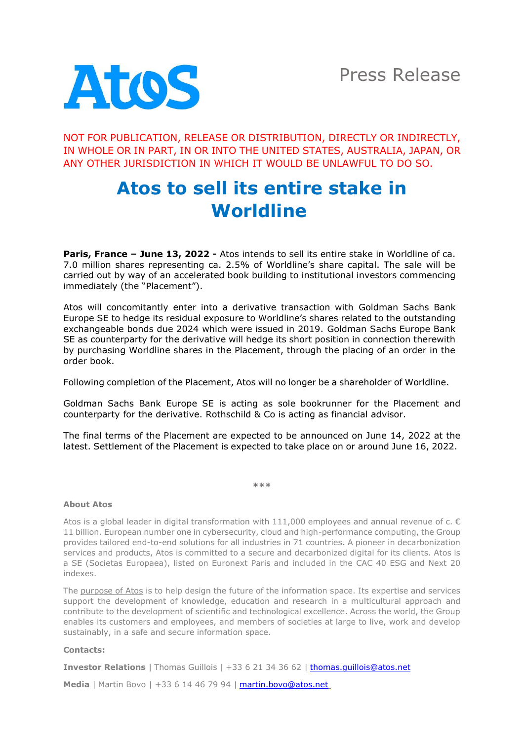

NOT FOR PUBLICATION, RELEASE OR DISTRIBUTION, DIRECTLY OR INDIRECTLY, IN WHOLE OR IN PART, IN OR INTO THE UNITED STATES, AUSTRALIA, JAPAN, OR ANY OTHER JURISDICTION IN WHICH IT WOULD BE UNLAWFUL TO DO SO.

## **Atos to sell its entire stake in Worldline**

**Paris, France – June 13, 2022 -** Atos intends to sell its entire stake in Worldline of ca. 7.0 million shares representing ca. 2.5% of Worldline's share capital. The sale will be carried out by way of an accelerated book building to institutional investors commencing immediately (the "Placement").

Atos will concomitantly enter into a derivative transaction with Goldman Sachs Bank Europe SE to hedge its residual exposure to Worldline's shares related to the outstanding exchangeable bonds due 2024 which were issued in 2019. Goldman Sachs Europe Bank SE as counterparty for the derivative will hedge its short position in connection therewith by purchasing Worldline shares in the Placement, through the placing of an order in the order book.

Following completion of the Placement, Atos will no longer be a shareholder of Worldline.

Goldman Sachs Bank Europe SE is acting as sole bookrunner for the Placement and counterparty for the derivative. Rothschild & Co is acting as financial advisor.

The final terms of the Placement are expected to be announced on June 14, 2022 at the latest. Settlement of the Placement is expected to take place on or around June 16, 2022.

**\*\*\***

## **About Atos**

Atos is a global leader in digital transformation with  $111,000$  employees and annual revenue of c.  $\epsilon$ 11 billion. European number one in cybersecurity, cloud and high-performance computing, the Group provides tailored end-to-end solutions for all industries in 71 countries. A pioneer in decarbonization services and products, Atos is committed to a secure and decarbonized digital for its clients. Atos is a SE (Societas Europaea), listed on Euronext Paris and included in the CAC 40 ESG and Next 20 indexes.

The [purpose of Atos](https://atos.net/en/raison-detre) is to help design the future of the information space. Its expertise and services support the development of knowledge, education and research in a multicultural approach and contribute to the development of scientific and technological excellence. Across the world, the Group enables its customers and employees, and members of societies at large to live, work and develop sustainably, in a safe and secure information space.

## **Contacts:**

**Investor Relations** | Thomas Guillois | +33 6 21 34 36 62 | [thomas.guillois@atos.net](mailto:thomas.guillois@atos.net)

**Media** | Martin Bovo | +33 6 14 46 79 94 | **[martin.bovo@atos.net](mailto:martin.bovo@atos.net)**